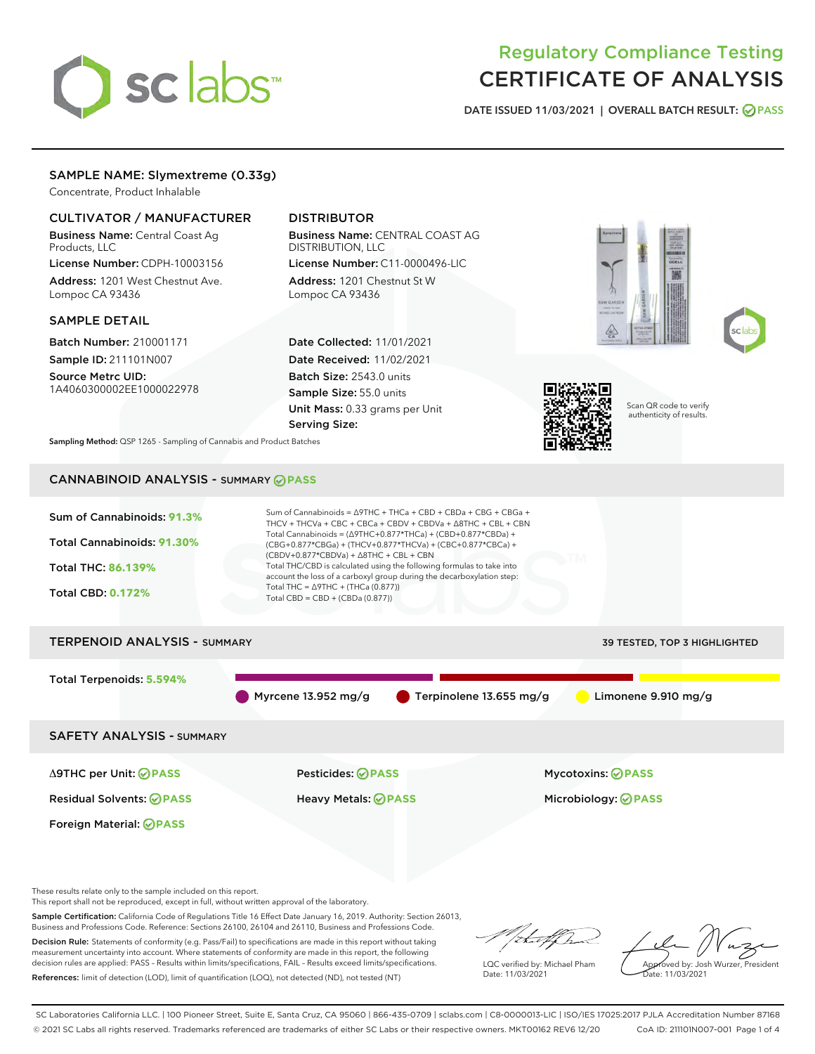# sclabs<sup>\*</sup>

# Regulatory Compliance Testing CERTIFICATE OF ANALYSIS

DATE ISSUED 11/03/2021 | OVERALL BATCH RESULT: @ PASS

# SAMPLE NAME: Slymextreme (0.33g)

Concentrate, Product Inhalable

# CULTIVATOR / MANUFACTURER

Business Name: Central Coast Ag Products, LLC

License Number: CDPH-10003156 Address: 1201 West Chestnut Ave. Lompoc CA 93436

#### SAMPLE DETAIL

Batch Number: 210001171 Sample ID: 211101N007

Source Metrc UID: 1A4060300002EE1000022978

# DISTRIBUTOR

Business Name: CENTRAL COAST AG DISTRIBUTION, LLC License Number: C11-0000496-LIC

Address: 1201 Chestnut St W Lompoc CA 93436

Date Collected: 11/01/2021 Date Received: 11/02/2021 Batch Size: 2543.0 units Sample Size: 55.0 units Unit Mass: 0.33 grams per Unit Serving Size:







Scan QR code to verify authenticity of results.

Sampling Method: QSP 1265 - Sampling of Cannabis and Product Batches

# CANNABINOID ANALYSIS - SUMMARY **PASS**



This report shall not be reproduced, except in full, without written approval of the laboratory.

Sample Certification: California Code of Regulations Title 16 Effect Date January 16, 2019. Authority: Section 26013, Business and Professions Code. Reference: Sections 26100, 26104 and 26110, Business and Professions Code.

Decision Rule: Statements of conformity (e.g. Pass/Fail) to specifications are made in this report without taking measurement uncertainty into account. Where statements of conformity are made in this report, the following decision rules are applied: PASS – Results within limits/specifications, FAIL – Results exceed limits/specifications. References: limit of detection (LOD), limit of quantification (LOQ), not detected (ND), not tested (NT)

that f h

LQC verified by: Michael Pham Date: 11/03/2021

Approved by: Josh Wurzer, President ate: 11/03/2021

SC Laboratories California LLC. | 100 Pioneer Street, Suite E, Santa Cruz, CA 95060 | 866-435-0709 | sclabs.com | C8-0000013-LIC | ISO/IES 17025:2017 PJLA Accreditation Number 87168 © 2021 SC Labs all rights reserved. Trademarks referenced are trademarks of either SC Labs or their respective owners. MKT00162 REV6 12/20 CoA ID: 211101N007-001 Page 1 of 4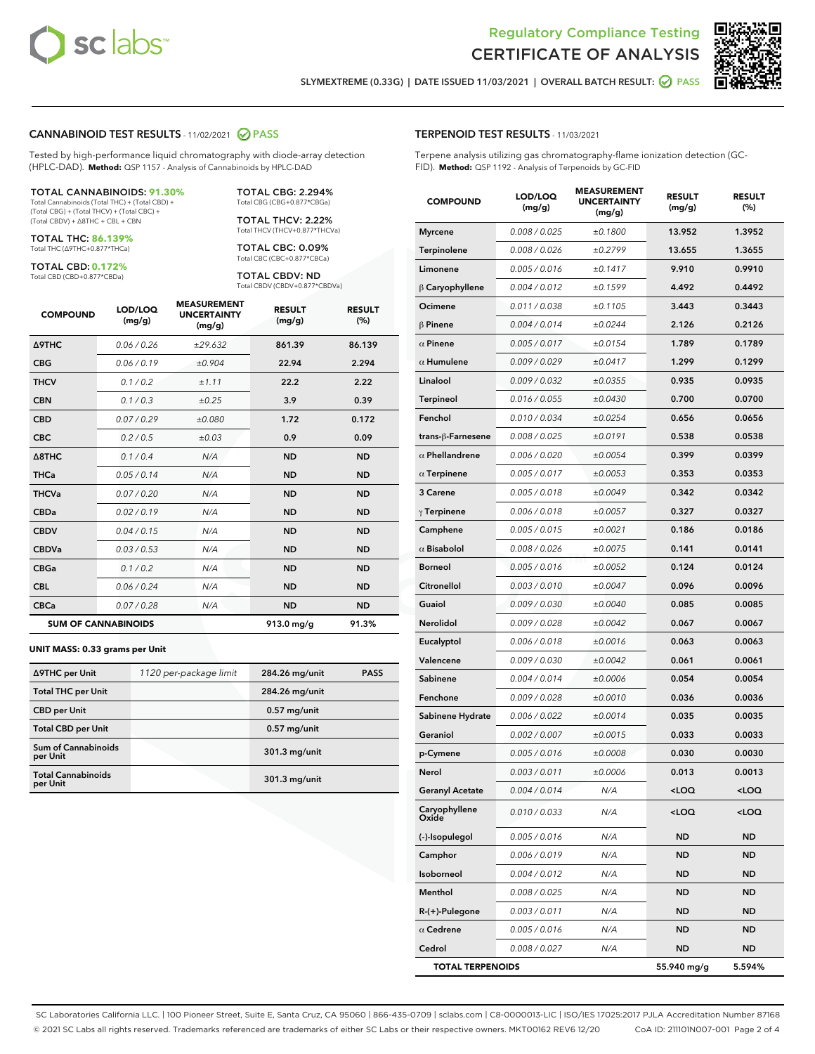



SLYMEXTREME (0.33G) | DATE ISSUED 11/03/2021 | OVERALL BATCH RESULT: 2 PASS

#### CANNABINOID TEST RESULTS - 11/02/2021 2 PASS

Tested by high-performance liquid chromatography with diode-array detection (HPLC-DAD). **Method:** QSP 1157 - Analysis of Cannabinoids by HPLC-DAD

#### TOTAL CANNABINOIDS: **91.30%**

Total Cannabinoids (Total THC) + (Total CBD) + (Total CBG) + (Total THCV) + (Total CBC) + (Total CBDV) + ∆8THC + CBL + CBN

TOTAL THC: **86.139%** Total THC (∆9THC+0.877\*THCa)

TOTAL CBD: **0.172%**

Total CBD (CBD+0.877\*CBDa)

TOTAL CBG: 2.294% Total CBG (CBG+0.877\*CBGa)

TOTAL THCV: 2.22% Total THCV (THCV+0.877\*THCVa)

TOTAL CBC: 0.09% Total CBC (CBC+0.877\*CBCa)

TOTAL CBDV: ND Total CBDV (CBDV+0.877\*CBDVa)

| <b>COMPOUND</b>            | LOD/LOQ<br>(mg/g) | <b>MEASUREMENT</b><br><b>UNCERTAINTY</b><br>(mg/g) | <b>RESULT</b><br>(mg/g) | <b>RESULT</b><br>(%) |
|----------------------------|-------------------|----------------------------------------------------|-------------------------|----------------------|
| <b>A9THC</b>               | 0.06/0.26         | ±29.632                                            | 861.39                  | 86.139               |
| <b>CBG</b>                 | 0.06/0.19         | ±0.904                                             | 22.94                   | 2.294                |
| <b>THCV</b>                | 0.1/0.2           | ±1.11                                              | 22.2                    | 2.22                 |
| <b>CBN</b>                 | 0.1/0.3           | $\pm 0.25$                                         | 3.9                     | 0.39                 |
| <b>CBD</b>                 | 0.07/0.29         | ±0.080                                             | 1.72                    | 0.172                |
| <b>CBC</b>                 | 0.2 / 0.5         | ±0.03                                              | 0.9                     | 0.09                 |
| $\triangle$ 8THC           | 0.1/0.4           | N/A                                                | <b>ND</b>               | <b>ND</b>            |
| <b>THCa</b>                | 0.05/0.14         | N/A                                                | <b>ND</b>               | <b>ND</b>            |
| <b>THCVa</b>               | 0.07 / 0.20       | N/A                                                | <b>ND</b>               | <b>ND</b>            |
| <b>CBDa</b>                | 0.02/0.19         | N/A                                                | <b>ND</b>               | <b>ND</b>            |
| <b>CBDV</b>                | 0.04 / 0.15       | N/A                                                | <b>ND</b>               | <b>ND</b>            |
| <b>CBDVa</b>               | 0.03/0.53         | N/A                                                | <b>ND</b>               | <b>ND</b>            |
| <b>CBGa</b>                | 0.1/0.2           | N/A                                                | <b>ND</b>               | <b>ND</b>            |
| <b>CBL</b>                 | 0.06 / 0.24       | N/A                                                | <b>ND</b>               | <b>ND</b>            |
| <b>CBCa</b>                | 0.07 / 0.28       | N/A                                                | <b>ND</b>               | <b>ND</b>            |
| <b>SUM OF CANNABINOIDS</b> |                   |                                                    | $913.0$ mg/g            | 91.3%                |

#### **UNIT MASS: 0.33 grams per Unit**

| ∆9THC per Unit                         | 1120 per-package limit | 284.26 mg/unit | <b>PASS</b> |
|----------------------------------------|------------------------|----------------|-------------|
| <b>Total THC per Unit</b>              |                        | 284.26 mg/unit |             |
| <b>CBD per Unit</b>                    |                        | $0.57$ mg/unit |             |
| <b>Total CBD per Unit</b>              |                        | $0.57$ mg/unit |             |
| <b>Sum of Cannabinoids</b><br>per Unit |                        | 301.3 mg/unit  |             |
| <b>Total Cannabinoids</b><br>per Unit  |                        | 301.3 mg/unit  |             |

# TERPENOID TEST RESULTS - 11/03/2021

Terpene analysis utilizing gas chromatography-flame ionization detection (GC-FID). **Method:** QSP 1192 - Analysis of Terpenoids by GC-FID

| <b>COMPOUND</b>         | LOD/LOQ<br>(mg/g) | <b>MEASUREMENT</b><br><b>UNCERTAINTY</b><br>(mg/g) | <b>RESULT</b><br>(mg/g)                         | <b>RESULT</b><br>$(\%)$ |
|-------------------------|-------------------|----------------------------------------------------|-------------------------------------------------|-------------------------|
| <b>Myrcene</b>          | 0.008 / 0.025     | ±0.1800                                            | 13.952                                          | 1.3952                  |
| Terpinolene             | 0.008 / 0.026     | ±0.2799                                            | 13.655                                          | 1.3655                  |
| Limonene                | 0.005 / 0.016     | ±0.1417                                            | 9.910                                           | 0.9910                  |
| $\upbeta$ Caryophyllene | 0.004 / 0.012     | ±0.1599                                            | 4.492                                           | 0.4492                  |
| Ocimene                 | 0.011 / 0.038     | ±0.1105                                            | 3.443                                           | 0.3443                  |
| $\beta$ Pinene          | 0.004 / 0.014     | ±0.0244                                            | 2.126                                           | 0.2126                  |
| $\alpha$ Pinene         | 0.005 / 0.017     | ±0.0154                                            | 1.789                                           | 0.1789                  |
| $\alpha$ Humulene       | 0.009/0.029       | ±0.0417                                            | 1.299                                           | 0.1299                  |
| Linalool                | 0.009 / 0.032     | ±0.0355                                            | 0.935                                           | 0.0935                  |
| <b>Terpineol</b>        | 0.016 / 0.055     | ±0.0430                                            | 0.700                                           | 0.0700                  |
| Fenchol                 | 0.010 / 0.034     | ±0.0254                                            | 0.656                                           | 0.0656                  |
| trans-β-Farnesene       | 0.008 / 0.025     | ±0.0191                                            | 0.538                                           | 0.0538                  |
| $\alpha$ Phellandrene   | 0.006 / 0.020     | ±0.0054                                            | 0.399                                           | 0.0399                  |
| $\alpha$ Terpinene      | 0.005 / 0.017     | ±0.0053                                            | 0.353                                           | 0.0353                  |
| 3 Carene                | 0.005 / 0.018     | ±0.0049                                            | 0.342                                           | 0.0342                  |
| $\gamma$ Terpinene      | 0.006 / 0.018     | ±0.0057                                            | 0.327                                           | 0.0327                  |
| Camphene                | 0.005 / 0.015     | ±0.0021                                            | 0.186                                           | 0.0186                  |
| $\alpha$ Bisabolol      | 0.008 / 0.026     | ±0.0075                                            | 0.141                                           | 0.0141                  |
| <b>Borneol</b>          | 0.005 / 0.016     | ±0.0052                                            | 0.124                                           | 0.0124                  |
| Citronellol             | 0.003 / 0.010     | ±0.0047                                            | 0.096                                           | 0.0096                  |
| Guaiol                  | 0.009 / 0.030     | ±0.0040                                            | 0.085                                           | 0.0085                  |
| Nerolidol               | 0.009 / 0.028     | ±0.0042                                            | 0.067                                           | 0.0067                  |
| Eucalyptol              | 0.006 / 0.018     | ±0.0016                                            | 0.063                                           | 0.0063                  |
| Valencene               | 0.009 / 0.030     | ±0.0042                                            | 0.061                                           | 0.0061                  |
| Sabinene                | 0.004 / 0.014     | ±0.0006                                            | 0.054                                           | 0.0054                  |
| Fenchone                | 0.009 / 0.028     | ±0.0010                                            | 0.036                                           | 0.0036                  |
| Sabinene Hydrate        | 0.006 / 0.022     | ±0.0014                                            | 0.035                                           | 0.0035                  |
| Geraniol                | 0.002 / 0.007     | ±0.0015                                            | 0.033                                           | 0.0033                  |
| p-Cymene                | 0.005 / 0.016     | ±0.0008                                            | 0.030                                           | 0.0030                  |
| Nerol                   | 0.003 / 0.011     | ±0.0006                                            | 0.013                                           | 0.0013                  |
| <b>Geranyl Acetate</b>  | 0.004 / 0.014     | N/A                                                | <loq< th=""><th><loq< th=""></loq<></th></loq<> | <loq< th=""></loq<>     |
| Caryophyllene<br>Oxide  | 0.010 / 0.033     | N/A                                                | 100                                             | <loq< th=""></loq<>     |
| (-)-Isopulegol          | 0.005 / 0.016     | N/A                                                | ND                                              | <b>ND</b>               |
| Camphor                 | 0.006 / 0.019     | N/A                                                | ND                                              | ND                      |
| Isoborneol              | 0.004 / 0.012     | N/A                                                | ND                                              | ND                      |
| Menthol                 | 0.008 / 0.025     | N/A                                                | ND                                              | <b>ND</b>               |
| $R-(+)$ -Pulegone       | 0.003 / 0.011     | N/A                                                | ND                                              | ND                      |
| $\alpha$ Cedrene        | 0.005 / 0.016     | N/A                                                | ND                                              | ND                      |
| Cedrol                  | 0.008 / 0.027     | N/A                                                | ND                                              | ND                      |
| <b>TOTAL TERPENOIDS</b> |                   |                                                    | 55.940 mg/g                                     | 5.594%                  |

SC Laboratories California LLC. | 100 Pioneer Street, Suite E, Santa Cruz, CA 95060 | 866-435-0709 | sclabs.com | C8-0000013-LIC | ISO/IES 17025:2017 PJLA Accreditation Number 87168 © 2021 SC Labs all rights reserved. Trademarks referenced are trademarks of either SC Labs or their respective owners. MKT00162 REV6 12/20 CoA ID: 211101N007-001 Page 2 of 4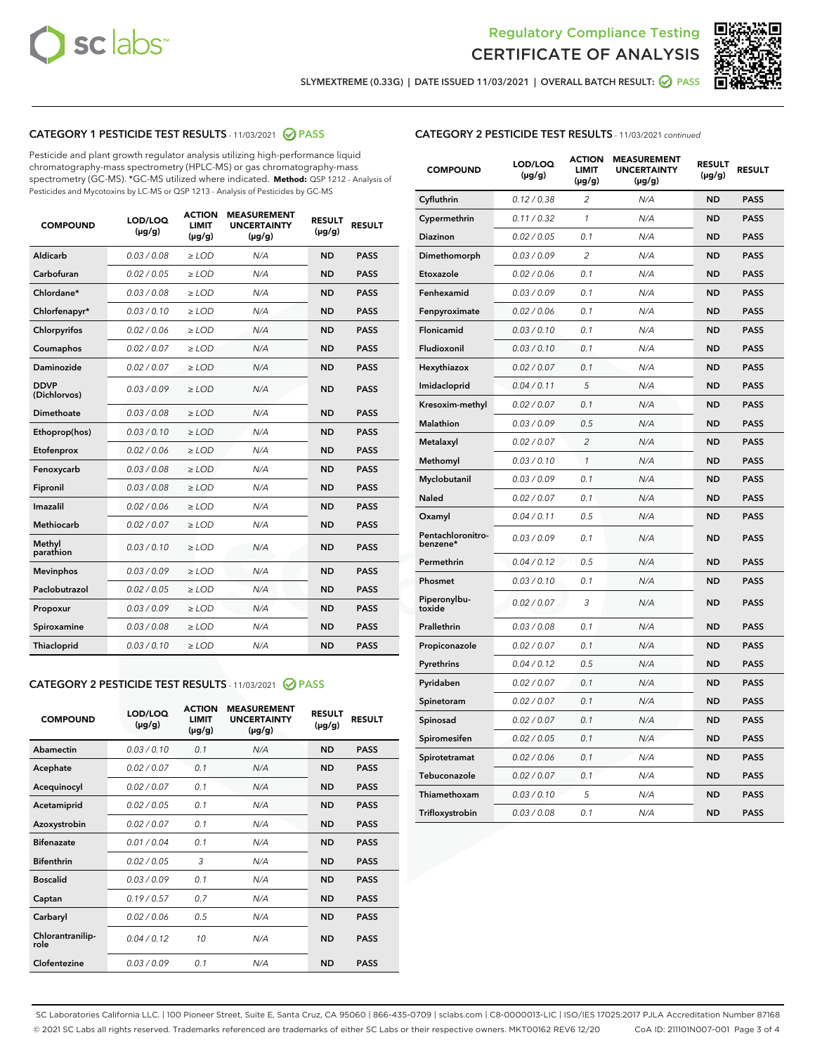



SLYMEXTREME (0.33G) | DATE ISSUED 11/03/2021 | OVERALL BATCH RESULT: @ PASS

# CATEGORY 1 PESTICIDE TEST RESULTS - 11/03/2021 2 PASS

Pesticide and plant growth regulator analysis utilizing high-performance liquid chromatography-mass spectrometry (HPLC-MS) or gas chromatography-mass spectrometry (GC-MS). \*GC-MS utilized where indicated. **Method:** QSP 1212 - Analysis of Pesticides and Mycotoxins by LC-MS or QSP 1213 - Analysis of Pesticides by GC-MS

| <b>COMPOUND</b>             | LOD/LOQ<br>$(\mu g/g)$ | <b>ACTION</b><br><b>LIMIT</b><br>$(\mu g/g)$ | <b>MEASUREMENT</b><br><b>UNCERTAINTY</b><br>$(\mu g/g)$ | <b>RESULT</b><br>$(\mu g/g)$ | <b>RESULT</b> |
|-----------------------------|------------------------|----------------------------------------------|---------------------------------------------------------|------------------------------|---------------|
| Aldicarb                    | 0.03 / 0.08            | $\ge$ LOD                                    | N/A                                                     | <b>ND</b>                    | <b>PASS</b>   |
| Carbofuran                  | 0.02/0.05              | $>$ LOD                                      | N/A                                                     | <b>ND</b>                    | <b>PASS</b>   |
| Chlordane*                  | 0.03 / 0.08            | $\ge$ LOD                                    | N/A                                                     | <b>ND</b>                    | <b>PASS</b>   |
| Chlorfenapyr*               | 0.03/0.10              | $>$ LOD                                      | N/A                                                     | <b>ND</b>                    | <b>PASS</b>   |
| Chlorpyrifos                | 0.02 / 0.06            | $\ge$ LOD                                    | N/A                                                     | <b>ND</b>                    | <b>PASS</b>   |
| Coumaphos                   | 0.02 / 0.07            | $\ge$ LOD                                    | N/A                                                     | <b>ND</b>                    | <b>PASS</b>   |
| Daminozide                  | 0.02 / 0.07            | $\ge$ LOD                                    | N/A                                                     | <b>ND</b>                    | <b>PASS</b>   |
| <b>DDVP</b><br>(Dichlorvos) | 0.03/0.09              | $\ge$ LOD                                    | N/A                                                     | <b>ND</b>                    | <b>PASS</b>   |
| Dimethoate                  | 0.03/0.08              | $>$ LOD                                      | N/A                                                     | <b>ND</b>                    | <b>PASS</b>   |
| Ethoprop(hos)               | 0.03/0.10              | $\ge$ LOD                                    | N/A                                                     | <b>ND</b>                    | <b>PASS</b>   |
| Etofenprox                  | 0.02 / 0.06            | $\ge$ LOD                                    | N/A                                                     | <b>ND</b>                    | <b>PASS</b>   |
| Fenoxycarb                  | 0.03 / 0.08            | $\ge$ LOD                                    | N/A                                                     | <b>ND</b>                    | <b>PASS</b>   |
| Fipronil                    | 0.03/0.08              | $>$ LOD                                      | N/A                                                     | <b>ND</b>                    | <b>PASS</b>   |
| Imazalil                    | 0.02 / 0.06            | $\ge$ LOD                                    | N/A                                                     | <b>ND</b>                    | <b>PASS</b>   |
| Methiocarb                  | 0.02 / 0.07            | $\ge$ LOD                                    | N/A                                                     | <b>ND</b>                    | <b>PASS</b>   |
| Methyl<br>parathion         | 0.03/0.10              | $\ge$ LOD                                    | N/A                                                     | <b>ND</b>                    | <b>PASS</b>   |
| <b>Mevinphos</b>            | 0.03/0.09              | $>$ LOD                                      | N/A                                                     | <b>ND</b>                    | <b>PASS</b>   |
| Paclobutrazol               | 0.02 / 0.05            | $\ge$ LOD                                    | N/A                                                     | <b>ND</b>                    | <b>PASS</b>   |
| Propoxur                    | 0.03/0.09              | $\ge$ LOD                                    | N/A                                                     | <b>ND</b>                    | <b>PASS</b>   |
| Spiroxamine                 | 0.03 / 0.08            | $\ge$ LOD                                    | N/A                                                     | <b>ND</b>                    | <b>PASS</b>   |
| Thiacloprid                 | 0.03/0.10              | $\ge$ LOD                                    | N/A                                                     | <b>ND</b>                    | <b>PASS</b>   |

#### CATEGORY 2 PESTICIDE TEST RESULTS - 11/03/2021 @ PASS

| <b>COMPOUND</b>          | LOD/LOO<br>$(\mu g/g)$ | <b>ACTION</b><br>LIMIT<br>$(\mu g/g)$ | <b>MEASUREMENT</b><br><b>UNCERTAINTY</b><br>$(\mu g/g)$ | <b>RESULT</b><br>$(\mu g/g)$ | <b>RESULT</b> |
|--------------------------|------------------------|---------------------------------------|---------------------------------------------------------|------------------------------|---------------|
| Abamectin                | 0.03/0.10              | 0.1                                   | N/A                                                     | <b>ND</b>                    | <b>PASS</b>   |
| Acephate                 | 0.02/0.07              | 0.1                                   | N/A                                                     | <b>ND</b>                    | <b>PASS</b>   |
| Acequinocyl              | 0.02/0.07              | 0.1                                   | N/A                                                     | <b>ND</b>                    | <b>PASS</b>   |
| Acetamiprid              | 0.02/0.05              | 0.1                                   | N/A                                                     | <b>ND</b>                    | <b>PASS</b>   |
| Azoxystrobin             | 0.02/0.07              | 0.1                                   | N/A                                                     | <b>ND</b>                    | <b>PASS</b>   |
| <b>Bifenazate</b>        | 0.01 / 0.04            | 0.1                                   | N/A                                                     | <b>ND</b>                    | <b>PASS</b>   |
| <b>Bifenthrin</b>        | 0.02 / 0.05            | 3                                     | N/A                                                     | <b>ND</b>                    | <b>PASS</b>   |
| <b>Boscalid</b>          | 0.03/0.09              | 0.1                                   | N/A                                                     | <b>ND</b>                    | <b>PASS</b>   |
| Captan                   | 0.19/0.57              | 0.7                                   | N/A                                                     | <b>ND</b>                    | <b>PASS</b>   |
| Carbaryl                 | 0.02/0.06              | 0.5                                   | N/A                                                     | <b>ND</b>                    | <b>PASS</b>   |
| Chlorantranilip-<br>role | 0.04/0.12              | 10                                    | N/A                                                     | <b>ND</b>                    | <b>PASS</b>   |
| Clofentezine             | 0.03/0.09              | 0.1                                   | N/A                                                     | <b>ND</b>                    | <b>PASS</b>   |

# CATEGORY 2 PESTICIDE TEST RESULTS - 11/03/2021 continued

| <b>COMPOUND</b>               | LOD/LOQ<br>(µg/g) | <b>ACTION</b><br><b>LIMIT</b><br>$(\mu g/g)$ | <b>MEASUREMENT</b><br><b>UNCERTAINTY</b><br>$(\mu g/g)$ | <b>RESULT</b><br>(µg/g) | <b>RESULT</b> |
|-------------------------------|-------------------|----------------------------------------------|---------------------------------------------------------|-------------------------|---------------|
| Cyfluthrin                    | 0.12 / 0.38       | $\overline{c}$                               | N/A                                                     | ND                      | <b>PASS</b>   |
| Cypermethrin                  | 0.11 / 0.32       | $\mathcal{I}$                                | N/A                                                     | ND                      | <b>PASS</b>   |
| Diazinon                      | 0.02 / 0.05       | 0.1                                          | N/A                                                     | <b>ND</b>               | <b>PASS</b>   |
| Dimethomorph                  | 0.03 / 0.09       | $\overline{2}$                               | N/A                                                     | ND                      | <b>PASS</b>   |
| Etoxazole                     | 0.02 / 0.06       | 0.1                                          | N/A                                                     | ND                      | <b>PASS</b>   |
| Fenhexamid                    | 0.03 / 0.09       | 0.1                                          | N/A                                                     | <b>ND</b>               | <b>PASS</b>   |
| Fenpyroximate                 | 0.02 / 0.06       | 0.1                                          | N/A                                                     | ND                      | <b>PASS</b>   |
| Flonicamid                    | 0.03 / 0.10       | 0.1                                          | N/A                                                     | ND                      | <b>PASS</b>   |
| Fludioxonil                   | 0.03 / 0.10       | 0.1                                          | N/A                                                     | ND                      | <b>PASS</b>   |
| Hexythiazox                   | 0.02 / 0.07       | 0.1                                          | N/A                                                     | ND                      | <b>PASS</b>   |
| Imidacloprid                  | 0.04 / 0.11       | 5                                            | N/A                                                     | ND                      | <b>PASS</b>   |
| Kresoxim-methyl               | 0.02 / 0.07       | 0.1                                          | N/A                                                     | ND                      | <b>PASS</b>   |
| <b>Malathion</b>              | 0.03 / 0.09       | 0.5                                          | N/A                                                     | ND                      | <b>PASS</b>   |
| Metalaxyl                     | 0.02 / 0.07       | $\overline{c}$                               | N/A                                                     | ND                      | <b>PASS</b>   |
| Methomyl                      | 0.03 / 0.10       | 1                                            | N/A                                                     | <b>ND</b>               | <b>PASS</b>   |
| Myclobutanil                  | 0.03 / 0.09       | 0.1                                          | N/A                                                     | ND                      | <b>PASS</b>   |
| Naled                         | 0.02 / 0.07       | 0.1                                          | N/A                                                     | ND                      | <b>PASS</b>   |
| Oxamyl                        | 0.04 / 0.11       | 0.5                                          | N/A                                                     | ND                      | <b>PASS</b>   |
| Pentachloronitro-<br>benzene* | 0.03 / 0.09       | 0.1                                          | N/A                                                     | ND                      | <b>PASS</b>   |
| Permethrin                    | 0.04 / 0.12       | 0.5                                          | N/A                                                     | ND                      | <b>PASS</b>   |
| Phosmet                       | 0.03 / 0.10       | 0.1                                          | N/A                                                     | ND                      | <b>PASS</b>   |
| Piperonylbu-<br>toxide        | 0.02 / 0.07       | 3                                            | N/A                                                     | ND                      | <b>PASS</b>   |
| Prallethrin                   | 0.03 / 0.08       | 0.1                                          | N/A                                                     | ND                      | <b>PASS</b>   |
| Propiconazole                 | 0.02 / 0.07       | 0.1                                          | N/A                                                     | ND                      | <b>PASS</b>   |
| Pyrethrins                    | 0.04 / 0.12       | 0.5                                          | N/A                                                     | ND                      | <b>PASS</b>   |
| Pyridaben                     | 0.02 / 0.07       | 0.1                                          | N/A                                                     | ND                      | <b>PASS</b>   |
| Spinetoram                    | 0.02 / 0.07       | 0.1                                          | N/A                                                     | ND                      | <b>PASS</b>   |
| Spinosad                      | 0.02 / 0.07       | 0.1                                          | N/A                                                     | ND                      | <b>PASS</b>   |
| Spiromesifen                  | 0.02 / 0.05       | 0.1                                          | N/A                                                     | <b>ND</b>               | <b>PASS</b>   |
| Spirotetramat                 | 0.02 / 0.06       | 0.1                                          | N/A                                                     | ND                      | <b>PASS</b>   |
| Tebuconazole                  | 0.02 / 0.07       | 0.1                                          | N/A                                                     | ND                      | <b>PASS</b>   |
| Thiamethoxam                  | 0.03 / 0.10       | 5                                            | N/A                                                     | ND                      | <b>PASS</b>   |
| Trifloxystrobin               | 0.03 / 0.08       | 0.1                                          | N/A                                                     | <b>ND</b>               | <b>PASS</b>   |

SC Laboratories California LLC. | 100 Pioneer Street, Suite E, Santa Cruz, CA 95060 | 866-435-0709 | sclabs.com | C8-0000013-LIC | ISO/IES 17025:2017 PJLA Accreditation Number 87168 © 2021 SC Labs all rights reserved. Trademarks referenced are trademarks of either SC Labs or their respective owners. MKT00162 REV6 12/20 CoA ID: 211101N007-001 Page 3 of 4